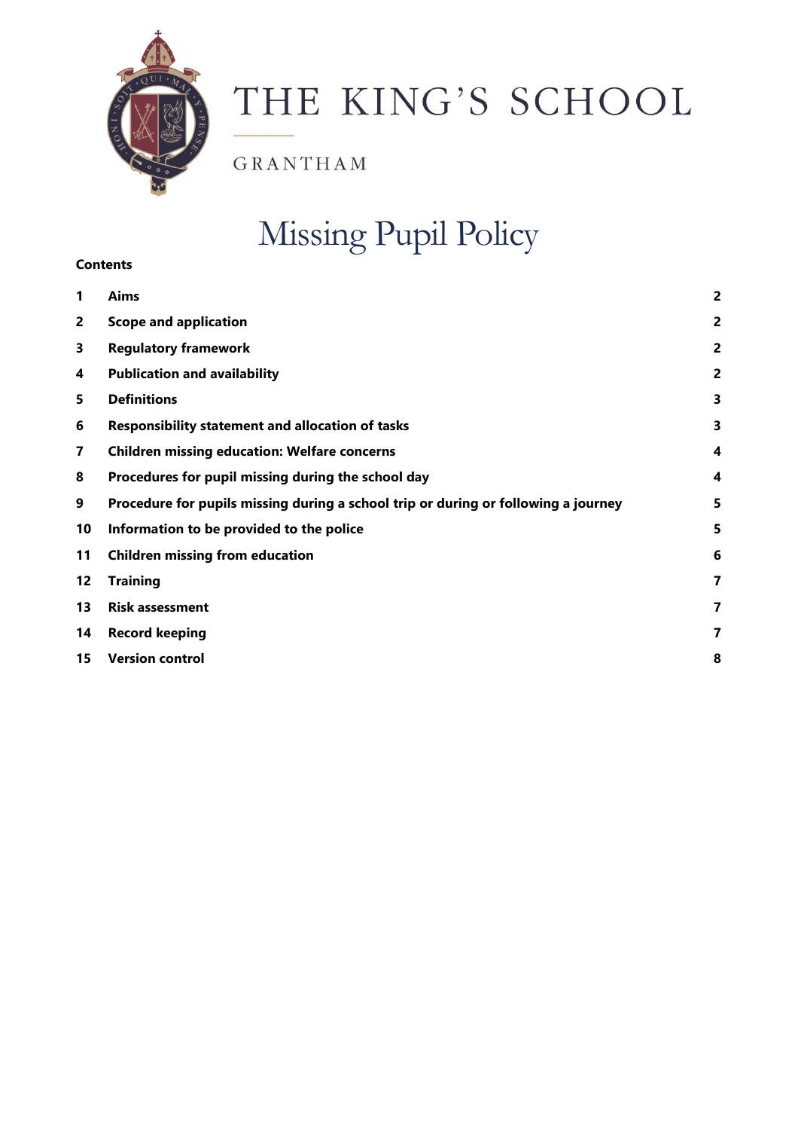

# THE KING'S SCHOOL

GRANTHAM

# Missing Pupil Policy

# **Contents**

| 1              | Aims                                                                               | 2              |
|----------------|------------------------------------------------------------------------------------|----------------|
| $\overline{2}$ | <b>Scope and application</b>                                                       | $\overline{a}$ |
| 3              | <b>Regulatory framework</b>                                                        | $\overline{a}$ |
| 4              | <b>Publication and availability</b>                                                | 2              |
| 5              | <b>Definitions</b>                                                                 | 3              |
| 6              | <b>Responsibility statement and allocation of tasks</b>                            | 3              |
| 7              | <b>Children missing education: Welfare concerns</b>                                | 4              |
| 8              | Procedures for pupil missing during the school day                                 | 4              |
| 9              | Procedure for pupils missing during a school trip or during or following a journey | 5              |
| 10             | Information to be provided to the police                                           | 5              |
| 11             | <b>Children missing from education</b>                                             | 6              |
| 12             | <b>Training</b>                                                                    | 7              |
| 13             | <b>Risk assessment</b>                                                             | 7              |
| 14             | <b>Record keeping</b>                                                              | 7              |
| 15             | <b>Version control</b>                                                             | 8              |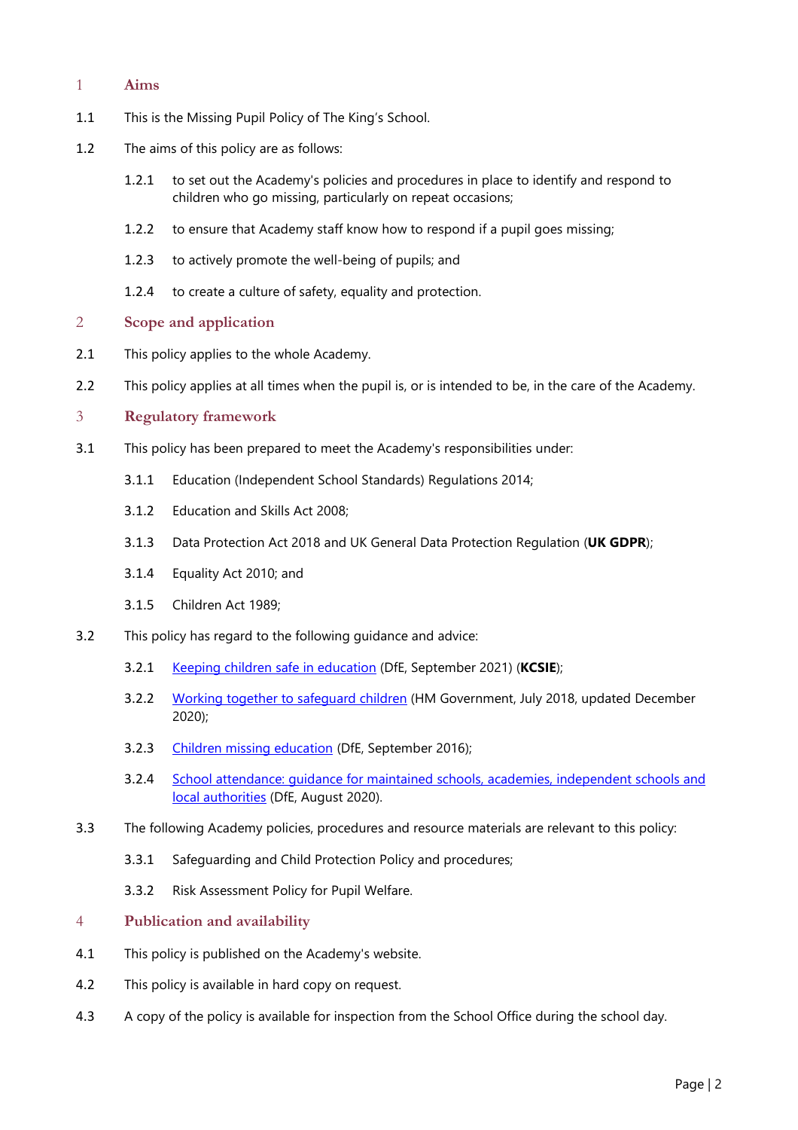### <span id="page-1-0"></span>1 **Aims**

- 1.1 This is the Missing Pupil Policy of The King's School.
- 1.2 The aims of this policy are as follows:
	- 1.2.1 to set out the Academy's policies and procedures in place to identify and respond to children who go missing, particularly on repeat occasions;
	- 1.2.2 to ensure that Academy staff know how to respond if a pupil goes missing;
	- 1.2.3 to actively promote the well-being of pupils; and
	- 1.2.4 to create a culture of safety, equality and protection.

#### <span id="page-1-1"></span>2 **Scope and application**

- 2.1 This policy applies to the whole Academy.
- 2.2 This policy applies at all times when the pupil is, or is intended to be, in the care of the Academy.

#### <span id="page-1-2"></span>3 **Regulatory framework**

- 3.1 This policy has been prepared to meet the Academy's responsibilities under:
	- 3.1.1 Education (Independent School Standards) Regulations 2014;
	- 3.1.2 Education and Skills Act 2008;
	- 3.1.3 Data Protection Act 2018 and UK General Data Protection Regulation (**UK GDPR**);
	- 3.1.4 Equality Act 2010; and
	- 3.1.5 Children Act 1989;
- 3.2 This policy has regard to the following guidance and advice:
	- 3.2.1 Keeping children safe in [education](https://www.gov.uk/government/publications/keeping-children-safe-in-education--2) (DfE, September 2021) (**KCSIE**);
	- 3.2.2 Working together to safequard children (HM Government, July 2018, updated December 2020);
	- 3.2.3 Children missing [education](https://www.gov.uk/government/publications/children-missing-education) (DfE, September 2016);
	- 3.2.4 School attendance: guidance for maintained schools, academies, [independent](https://www.gov.uk/government/publications/school-attendance) schools and local [authorities](https://www.gov.uk/government/publications/school-attendance) (DfE, August 2020).
- 3.3 The following Academy policies, procedures and resource materials are relevant to this policy:
	- 3.3.1 Safeguarding and Child Protection Policy and procedures;
	- 3.3.2 Risk Assessment Policy for Pupil Welfare.

#### <span id="page-1-3"></span>4 **Publication and availability**

- 4.1 This policy is published on the Academy's website.
- 4.2 This policy is available in hard copy on request.
- 4.3 A copy of the policy is available for inspection from the School Office during the school day.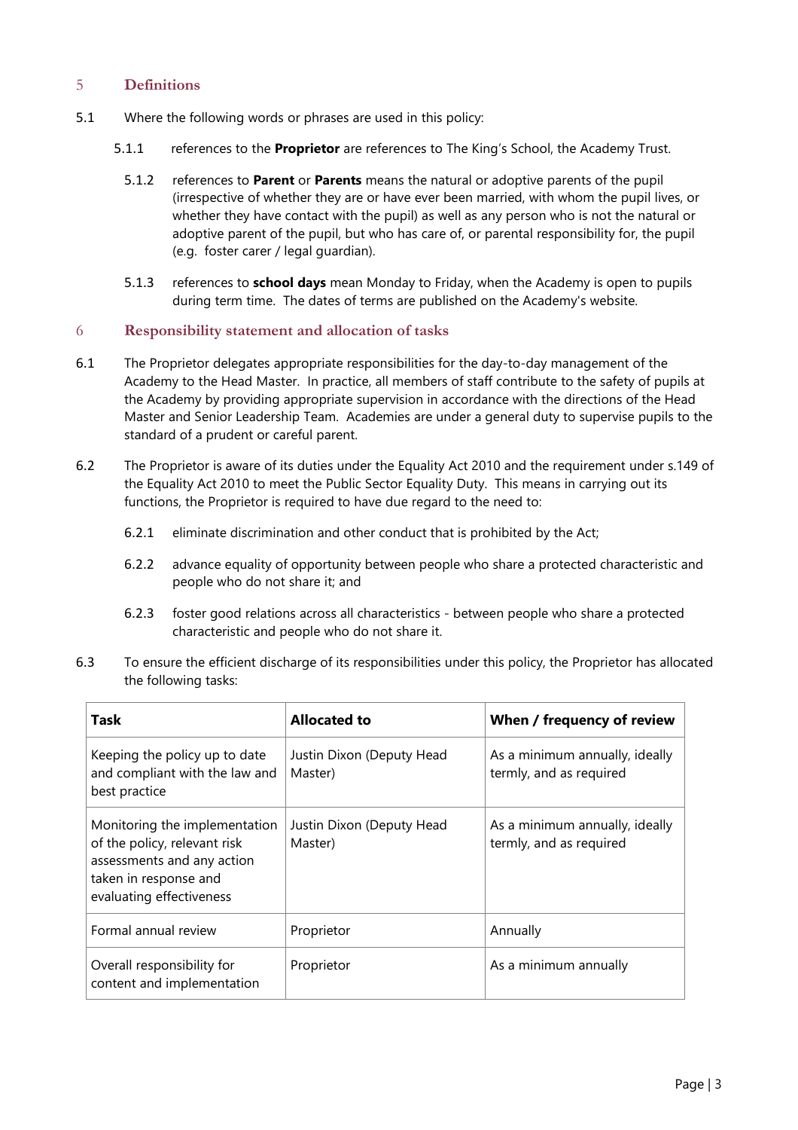# <span id="page-2-0"></span>5 **Definitions**

- 5.1 Where the following words or phrases are used in this policy:
	- 5.1.1 references to the **Proprietor** are references to The King's School, the Academy Trust.
		- 5.1.2 references to **Parent** or **Parents** means the natural or adoptive parents of the pupil (irrespective of whether they are or have ever been married, with whom the pupil lives, or whether they have contact with the pupil) as well as any person who is not the natural or adoptive parent of the pupil, but who has care of, or parental responsibility for, the pupil (e.g. foster carer / legal guardian).
		- 5.1.3 references to **school days** mean Monday to Friday, when the Academy is open to pupils during term time. The dates of terms are published on the Academy's website.

#### <span id="page-2-1"></span>6 **Responsibility statement and allocation of tasks**

- 6.1 The Proprietor delegates appropriate responsibilities for the day-to-day management of the Academy to the Head Master. In practice, all members of staff contribute to the safety of pupils at the Academy by providing appropriate supervision in accordance with the directions of the Head Master and Senior Leadership Team. Academies are under a general duty to supervise pupils to the standard of a prudent or careful parent.
- 6.2 The Proprietor is aware of its duties under the Equality Act 2010 and the requirement under s.149 of the Equality Act 2010 to meet the Public Sector Equality Duty. This means in carrying out its functions, the Proprietor is required to have due regard to the need to:
	- 6.2.1 eliminate discrimination and other conduct that is prohibited by the Act;
	- 6.2.2 advance equality of opportunity between people who share a protected characteristic and people who do not share it; and
	- 6.2.3 foster good relations across all characteristics between people who share a protected characteristic and people who do not share it.
- 6.3 To ensure the efficient discharge of its responsibilities under this policy, the Proprietor has allocated the following tasks:

| Task                                                                                                                                             | <b>Allocated to</b>                  | When / frequency of review                                |
|--------------------------------------------------------------------------------------------------------------------------------------------------|--------------------------------------|-----------------------------------------------------------|
| Keeping the policy up to date<br>and compliant with the law and<br>best practice                                                                 | Justin Dixon (Deputy Head<br>Master) | As a minimum annually, ideally<br>termly, and as required |
| Monitoring the implementation<br>of the policy, relevant risk<br>assessments and any action<br>taken in response and<br>evaluating effectiveness | Justin Dixon (Deputy Head<br>Master) | As a minimum annually, ideally<br>termly, and as required |
| Formal annual review                                                                                                                             | Proprietor                           | Annually                                                  |
| Overall responsibility for<br>content and implementation                                                                                         | Proprietor                           | As a minimum annually                                     |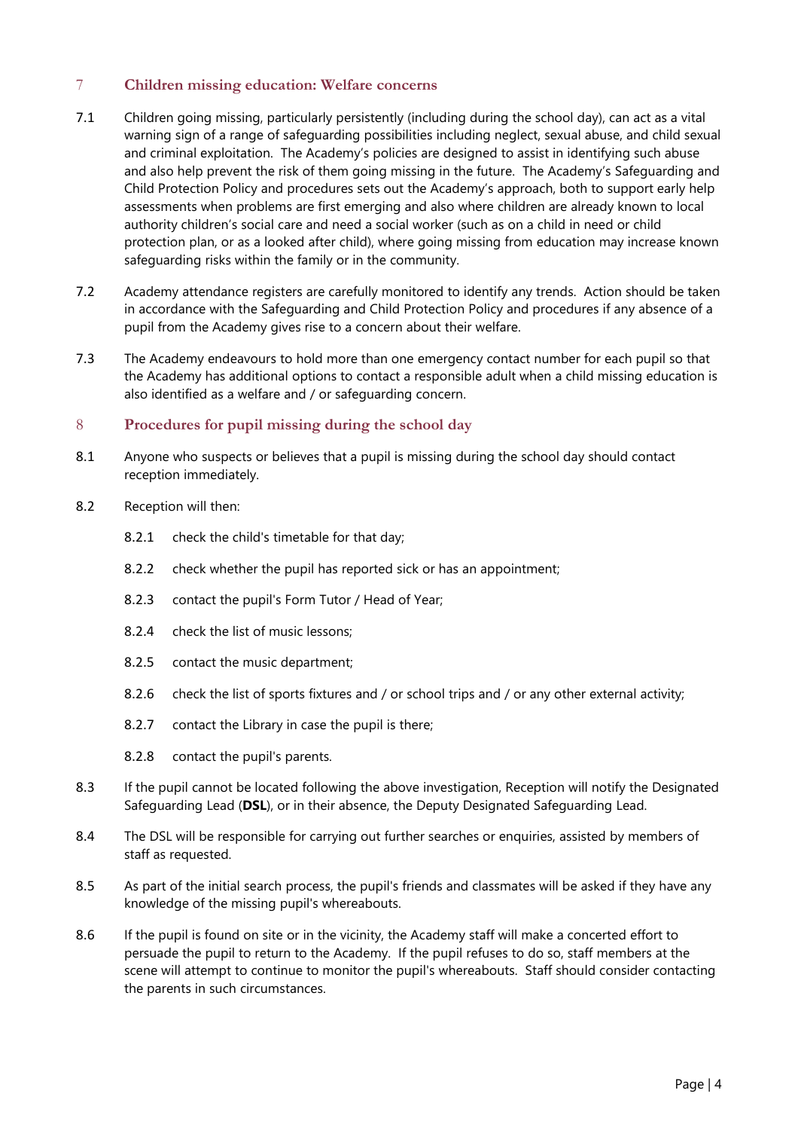# <span id="page-3-0"></span>7 **Children missing education: Welfare concerns**

- 7.1 Children going missing, particularly persistently (including during the school day), can act as a vital warning sign of a range of safeguarding possibilities including neglect, sexual abuse, and child sexual and criminal exploitation. The Academy's policies are designed to assist in identifying such abuse and also help prevent the risk of them going missing in the future. The Academy's Safeguarding and Child Protection Policy and procedures sets out the Academy's approach, both to support early help assessments when problems are first emerging and also where children are already known to local authority children's social care and need a social worker (such as on a child in need or child protection plan, or as a looked after child), where going missing from education may increase known safeguarding risks within the family or in the community.
- 7.2 Academy attendance registers are carefully monitored to identify any trends. Action should be taken in accordance with the Safeguarding and Child Protection Policy and procedures if any absence of a pupil from the Academy gives rise to a concern about their welfare.
- 7.3 The Academy endeavours to hold more than one emergency contact number for each pupil so that the Academy has additional options to contact a responsible adult when a child missing education is also identified as a welfare and / or safeguarding concern.

# <span id="page-3-1"></span>8 **Procedures for pupil missing during the school day**

- 8.1 Anyone who suspects or believes that a pupil is missing during the school day should contact reception immediately.
- 8.2 Reception will then:
	- 8.2.1 check the child's timetable for that day;
	- 8.2.2 check whether the pupil has reported sick or has an appointment;
	- 8.2.3 contact the pupil's Form Tutor / Head of Year;
	- 8.2.4 check the list of music lessons;
	- 8.2.5 contact the music department;
	- 8.2.6 check the list of sports fixtures and / or school trips and / or any other external activity;
	- 8.2.7 contact the Library in case the pupil is there;
	- 8.2.8 contact the pupil's parents.
- 8.3 If the pupil cannot be located following the above investigation, Reception will notify the Designated Safeguarding Lead (**DSL**), or in their absence, the Deputy Designated Safeguarding Lead.
- 8.4 The DSL will be responsible for carrying out further searches or enquiries, assisted by members of staff as requested.
- 8.5 As part of the initial search process, the pupil's friends and classmates will be asked if they have any knowledge of the missing pupil's whereabouts.
- 8.6 If the pupil is found on site or in the vicinity, the Academy staff will make a concerted effort to persuade the pupil to return to the Academy. If the pupil refuses to do so, staff members at the scene will attempt to continue to monitor the pupil's whereabouts. Staff should consider contacting the parents in such circumstances.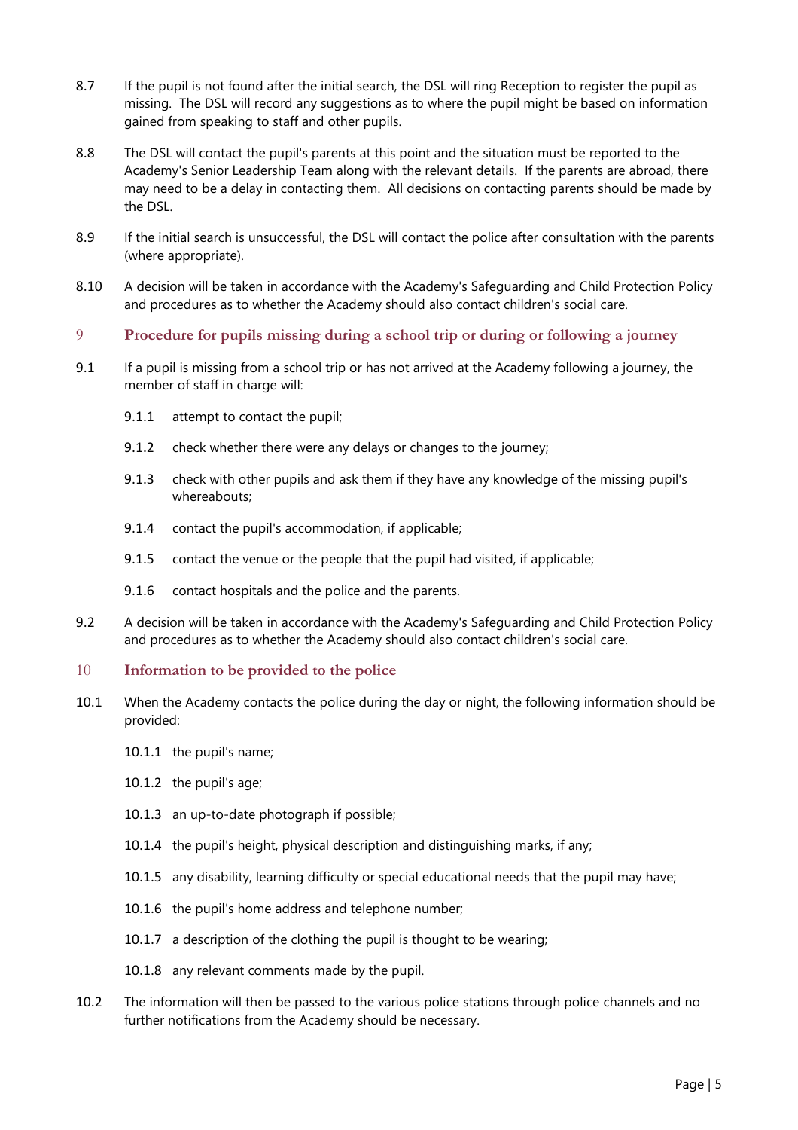- 8.7 If the pupil is not found after the initial search, the DSL will ring Reception to register the pupil as missing. The DSL will record any suggestions as to where the pupil might be based on information gained from speaking to staff and other pupils.
- 8.8 The DSL will contact the pupil's parents at this point and the situation must be reported to the Academy's Senior Leadership Team along with the relevant details. If the parents are abroad, there may need to be a delay in contacting them. All decisions on contacting parents should be made by the DSL.
- 8.9 If the initial search is unsuccessful, the DSL will contact the police after consultation with the parents (where appropriate).
- 8.10 A decision will be taken in accordance with the Academy's Safeguarding and Child Protection Policy and procedures as to whether the Academy should also contact children's social care.
- <span id="page-4-0"></span>9 **Procedure for pupils missing during a school trip or during or following a journey**
- 9.1 If a pupil is missing from a school trip or has not arrived at the Academy following a journey, the member of staff in charge will:
	- 9.1.1 attempt to contact the pupil;
	- 9.1.2 check whether there were any delays or changes to the journey;
	- 9.1.3 check with other pupils and ask them if they have any knowledge of the missing pupil's whereabouts;
	- 9.1.4 contact the pupil's accommodation, if applicable;
	- 9.1.5 contact the venue or the people that the pupil had visited, if applicable;
	- 9.1.6 contact hospitals and the police and the parents.
- 9.2 A decision will be taken in accordance with the Academy's Safeguarding and Child Protection Policy and procedures as to whether the Academy should also contact children's social care.
- <span id="page-4-1"></span>10 **Information to be provided to the police**
- 10.1 When the Academy contacts the police during the day or night, the following information should be provided:
	- 10.1.1 the pupil's name;
	- 10.1.2 the pupil's age;
	- 10.1.3 an up-to-date photograph if possible;
	- 10.1.4 the pupil's height, physical description and distinguishing marks, if any;
	- 10.1.5 any disability, learning difficulty or special educational needs that the pupil may have;
	- 10.1.6 the pupil's home address and telephone number;
	- 10.1.7 a description of the clothing the pupil is thought to be wearing;
	- 10.1.8 any relevant comments made by the pupil.
- 10.2 The information will then be passed to the various police stations through police channels and no further notifications from the Academy should be necessary.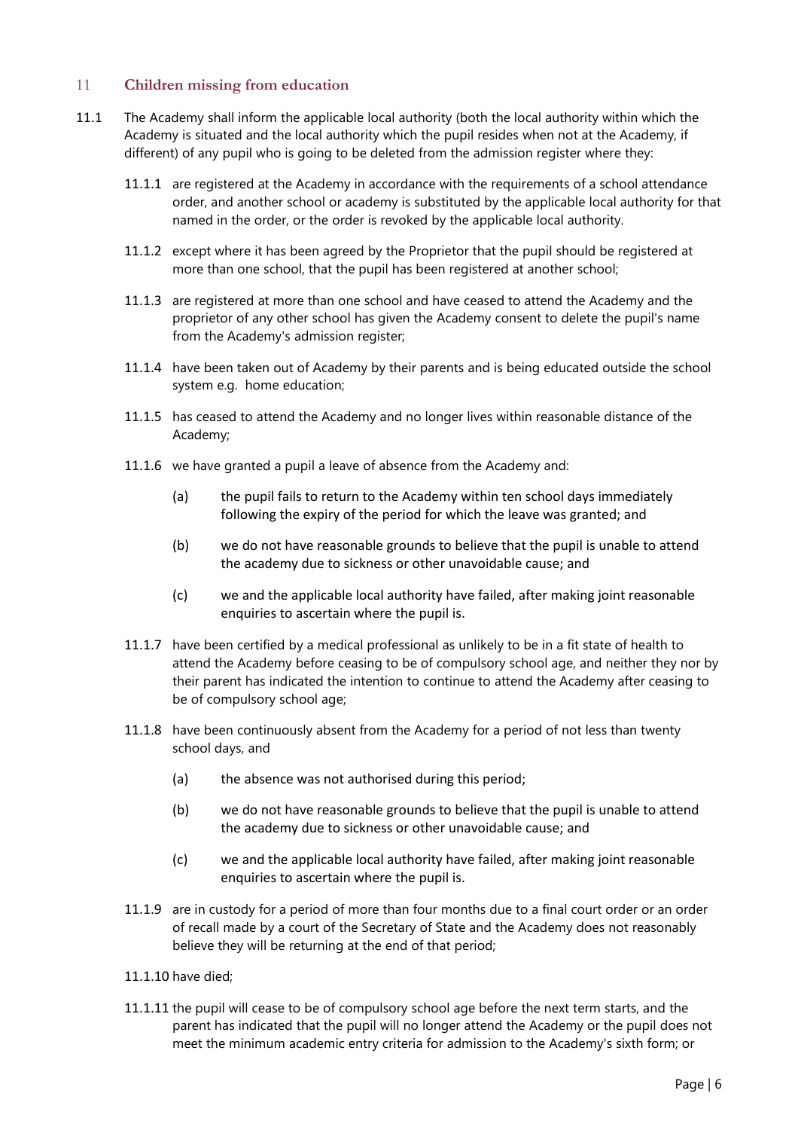# <span id="page-5-0"></span>11 **Children missing from education**

- 11.1 The Academy shall inform the applicable local authority (both the local authority within which the Academy is situated and the local authority which the pupil resides when not at the Academy, if different) of any pupil who is going to be deleted from the admission register where they:
	- 11.1.1 are registered at the Academy in accordance with the requirements of a school attendance order, and another school or academy is substituted by the applicable local authority for that named in the order, or the order is revoked by the applicable local authority.
	- 11.1.2 except where it has been agreed by the Proprietor that the pupil should be registered at more than one school, that the pupil has been registered at another school;
	- 11.1.3 are registered at more than one school and have ceased to attend the Academy and the proprietor of any other school has given the Academy consent to delete the pupil's name from the Academy's admission register;
	- 11.1.4 have been taken out of Academy by their parents and is being educated outside the school system e.g. home education;
	- 11.1.5 has ceased to attend the Academy and no longer lives within reasonable distance of the Academy;
	- 11.1.6 we have granted a pupil a leave of absence from the Academy and:
		- (a) the pupil fails to return to the Academy within ten school days immediately following the expiry of the period for which the leave was granted; and
		- (b) we do not have reasonable grounds to believe that the pupil is unable to attend the academy due to sickness or other unavoidable cause; and
		- (c) we and the applicable local authority have failed, after making joint reasonable enquiries to ascertain where the pupil is.
	- 11.1.7 have been certified by a medical professional as unlikely to be in a fit state of health to attend the Academy before ceasing to be of compulsory school age, and neither they nor by their parent has indicated the intention to continue to attend the Academy after ceasing to be of compulsory school age;
	- 11.1.8 have been continuously absent from the Academy for a period of not less than twenty school days, and
		- (a) the absence was not authorised during this period;
		- (b) we do not have reasonable grounds to believe that the pupil is unable to attend the academy due to sickness or other unavoidable cause; and
		- (c) we and the applicable local authority have failed, after making joint reasonable enquiries to ascertain where the pupil is.
	- 11.1.9 are in custody for a period of more than four months due to a final court order or an order of recall made by a court of the Secretary of State and the Academy does not reasonably believe they will be returning at the end of that period;
	- 11.1.10 have died;
	- 11.1.11 the pupil will cease to be of compulsory school age before the next term starts, and the parent has indicated that the pupil will no longer attend the Academy or the pupil does not meet the minimum academic entry criteria for admission to the Academy's sixth form; or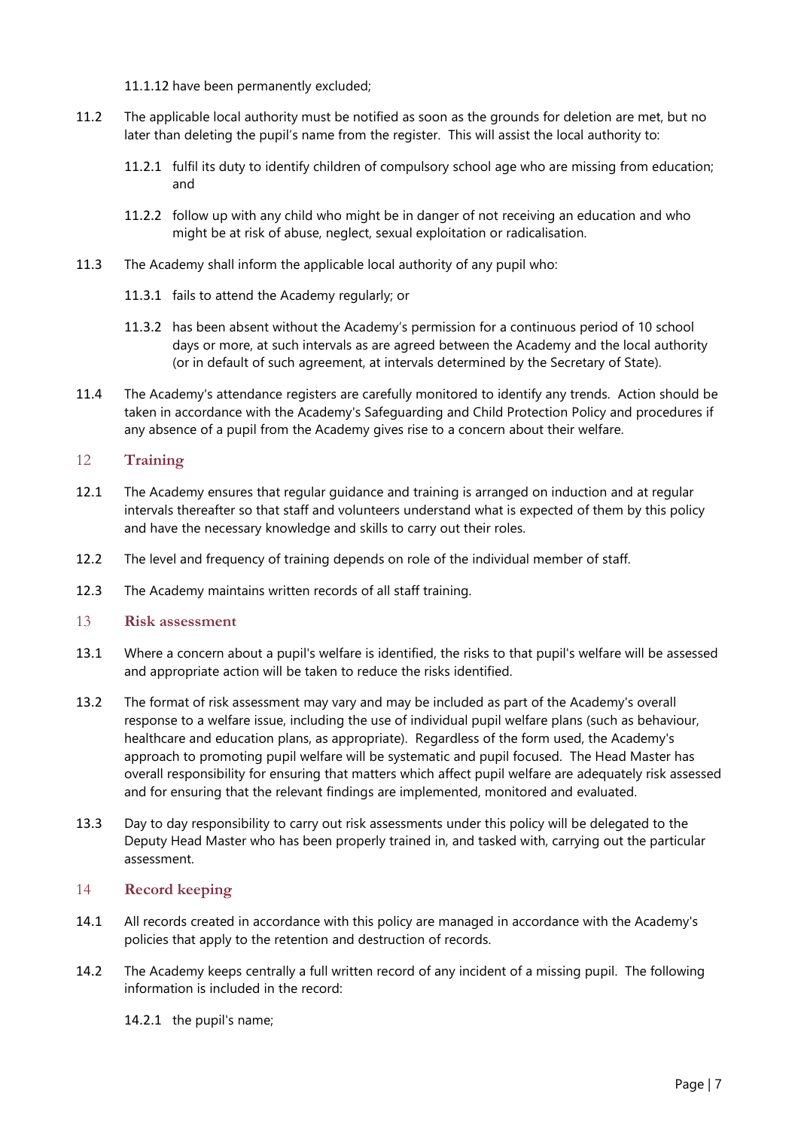11.1.12 have been permanently excluded;

- 11.2 The applicable local authority must be notified as soon as the grounds for deletion are met, but no later than deleting the pupil's name from the register. This will assist the local authority to:
	- 11.2.1 fulfil its duty to identify children of compulsory school age who are missing from education; and
	- 11.2.2 follow up with any child who might be in danger of not receiving an education and who might be at risk of abuse, neglect, sexual exploitation or radicalisation.
- 11.3 The Academy shall inform the applicable local authority of any pupil who:
	- 11.3.1 fails to attend the Academy regularly; or
	- 11.3.2 has been absent without the Academy's permission for a continuous period of 10 school days or more, at such intervals as are agreed between the Academy and the local authority (or in default of such agreement, at intervals determined by the Secretary of State).
- 11.4 The Academy's attendance registers are carefully monitored to identify any trends. Action should be taken in accordance with the Academy's Safeguarding and Child Protection Policy and procedures if any absence of a pupil from the Academy gives rise to a concern about their welfare.

# <span id="page-6-0"></span>12 **Training**

- 12.1 The Academy ensures that regular guidance and training is arranged on induction and at regular intervals thereafter so that staff and volunteers understand what is expected of them by this policy and have the necessary knowledge and skills to carry out their roles.
- 12.2 The level and frequency of training depends on role of the individual member of staff.
- 12.3 The Academy maintains written records of all staff training.
- <span id="page-6-1"></span>13 **Risk assessment**
- 13.1 Where a concern about a pupil's welfare is identified, the risks to that pupil's welfare will be assessed and appropriate action will be taken to reduce the risks identified.
- 13.2 The format of risk assessment may vary and may be included as part of the Academy's overall response to a welfare issue, including the use of individual pupil welfare plans (such as behaviour, healthcare and education plans, as appropriate). Regardless of the form used, the Academy's approach to promoting pupil welfare will be systematic and pupil focused. The Head Master has overall responsibility for ensuring that matters which affect pupil welfare are adequately risk assessed and for ensuring that the relevant findings are implemented, monitored and evaluated.
- 13.3 Day to day responsibility to carry out risk assessments under this policy will be delegated to the Deputy Head Master who has been properly trained in, and tasked with, carrying out the particular assessment.

# <span id="page-6-2"></span>14 **Record keeping**

- 14.1 All records created in accordance with this policy are managed in accordance with the Academy's policies that apply to the retention and destruction of records.
- 14.2 The Academy keeps centrally a full written record of any incident of a missing pupil. The following information is included in the record:
	- 14.2.1 the pupil's name;